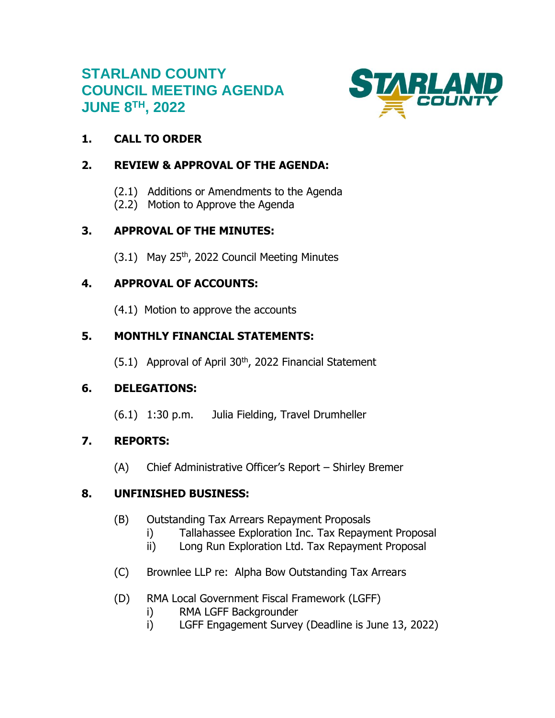# **STARLAND COUNTY COUNCIL MEETING AGENDA JUNE 8TH , 2022**



# **1. CALL TO ORDER**

# **2. REVIEW & APPROVAL OF THE AGENDA:**

- (2.1) Additions or Amendments to the Agenda
- (2.2) Motion to Approve the Agenda

# **3. APPROVAL OF THE MINUTES:**

 $(3.1)$  May 25<sup>th</sup>, 2022 Council Meeting Minutes

# **4. APPROVAL OF ACCOUNTS:**

(4.1) Motion to approve the accounts

# **5. MONTHLY FINANCIAL STATEMENTS:**

 $(5.1)$  Approval of April 30<sup>th</sup>, 2022 Financial Statement

# **6. DELEGATIONS:**

(6.1) 1:30 p.m. Julia Fielding, Travel Drumheller

# **7. REPORTS:**

(A) Chief Administrative Officer's Report – Shirley Bremer

# **8. UNFINISHED BUSINESS:**

- (B) Outstanding Tax Arrears Repayment Proposals
	- i) Tallahassee Exploration Inc. Tax Repayment Proposal
	- ii) Long Run Exploration Ltd. Tax Repayment Proposal
- (C) Brownlee LLP re: Alpha Bow Outstanding Tax Arrears
- (D) RMA Local Government Fiscal Framework (LGFF)
	- i) RMA LGFF Backgrounder
	- i) LGFF Engagement Survey (Deadline is June 13, 2022)